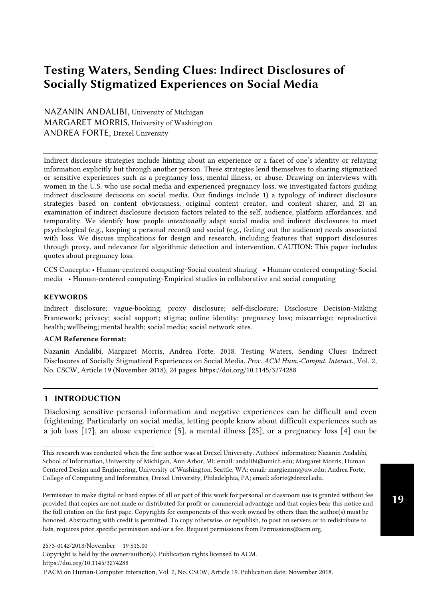NAZANIN ANDALIBI, University of Michigan MARGARET MORRIS, University of Washington ANDREA FORTE, Drexel University

Indirect disclosure strategies include hinting about an experience or a facet of one's identity or relaying information explicitly but through another person. These strategies lend themselves to sharing stigmatized or sensitive experiences such as a pregnancy loss, mental illness, or abuse. Drawing on interviews with women in the U.S. who use social media and experienced pregnancy loss, we investigated factors guiding indirect disclosure decisions on social media. Our findings include 1) a typology of indirect disclosure strategies based on content obviousness, original content creator, and content sharer, and 2) an examination of indirect disclosure decision factors related to the self, audience, platform affordances, and temporality. We identify how people *intentionally* adapt social media and indirect disclosures to meet psychological (e.g., keeping a personal record) and social (e.g., feeling out the audience) needs associated with loss. We discuss implications for design and research, including features that support disclosures through proxy, and relevance for algorithmic detection and intervention. CAUTION: This paper includes quotes about pregnancy loss.

CCS Concepts: • Human-centered computing~Social content sharing • Human-centered computing~Social media • Human-centered computing~Empirical studies in collaborative and social computing

# **KEYWORDS**

Indirect disclosure; vague-booking; proxy disclosure; self-disclosure; Disclosure Decision-Making Framework; privacy; social support; stigma; online identity; pregnancy loss; miscarriage; reproductive health; wellbeing; mental health; social media; social network sites.

# ACM Reference format:

Nazanin Andalibi, Margaret Morris, Andrea Forte. 2018. Testing Waters, Sending Clues: Indirect Disclosures of Socially Stigmatized Experiences on Social Media. *Proc. ACM Hum.-Comput. Interact.*, Vol. 2, No. CSCW, Article 19 (November 2018), 24 pages. htps://doi.org/10.1145/3274288

## 1 INTRODUCTION

\_\_\_\_\_\_\_\_\_\_\_\_\_\_\_\_\_\_\_\_\_\_\_\_\_\_\_\_\_\_\_\_\_\_

Disclosing sensitive personal information and negative experiences can be difficult and even frightening. Particularly on social media, letting people know about difficult experiences such as a job loss [17], an abuse experience [5], a mental illness [25], or a pregnancy loss [4] can be

This research was conducted when the first author was at Drexel University. Authors' information: Nazanin Andalibi, School of Information, University of Michigan, Ann Arbor, MI; email: andalibi@umich.edu; Margaret Morris, Human Centered Design and Engineering, University of Washington, Seattle, WA; email: margiemm@uw.edu; Andrea Forte, College of Computing and Informatics, Drexel University, Philadelphia, PA; email: aforte@drexel.edu.

Permission to make digital or hard copies of all or part of this work for personal or classroom use is granted without fee provided that copies are not made or distributed for profit or commercial advantage and that copies bear this notice and the full citation on the first page. Copyrights for components of this work owned by others than the author(s) must be honored. Abstracting with credit is permitted. To copy otherwise, or republish, to post on servers or to redistribute to lists, requires prior specific permission and/or a fee. Request permissions from Permissions@acm.org.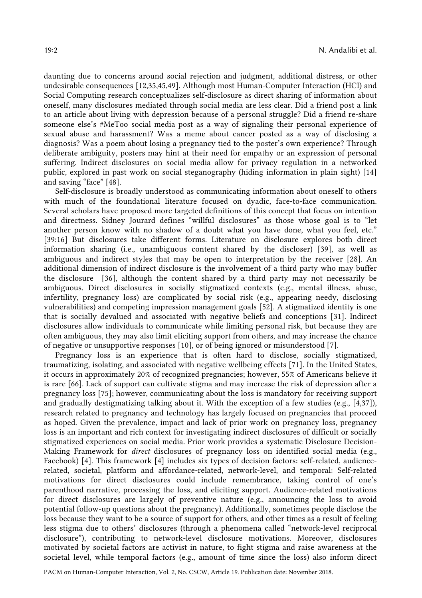daunting due to concerns around social rejection and judgment, additional distress, or other undesirable consequences [12,35,45,49]. Although most Human-Computer Interaction (HCI) and Social Computing research conceptualizes self-disclosure as direct sharing of information about oneself, many disclosures mediated through social media are less clear. Did a friend post a link to an article about living with depression because of a personal struggle? Did a friend re-share someone else's #MeToo social media post as a way of signaling their personal experience of sexual abuse and harassment? Was a meme about cancer posted as a way of disclosing a diagnosis? Was a poem about losing a pregnancy tied to the poster's own experience? Through deliberate ambiguity, posters may hint at their need for empathy or an expression of personal suffering. Indirect disclosures on social media allow for privacy regulation in a networked public, explored in past work on social steganography (hiding information in plain sight) [14] and saving "face" [48].

Self-disclosure is broadly understood as communicating information about oneself to others with much of the foundational literature focused on dyadic, face-to-face communication. Several scholars have proposed more targeted definitions of this concept that focus on intention and directness. Sidney Jourard defines "willful disclosures" as those whose goal is to "let another person know with no shadow of a doubt what you have done, what you feel, etc." [39:16] But disclosures take different forms. Literature on disclosure explores both direct information sharing (i.e., unambiguous content shared by the discloser) [39], as well as ambiguous and indirect styles that may be open to interpretation by the receiver [28]. An additional dimension of indirect disclosure is the involvement of a third party who may buffer the disclosure [36], although the content shared by a third party may not necessarily be ambiguous. Direct disclosures in socially stigmatized contexts (e.g., mental illness, abuse, infertility, pregnancy loss) are complicated by social risk (e.g., appearing needy, disclosing vulnerabilities) and competing impression management goals [52]. A stigmatized identity is one that is socially devalued and associated with negative beliefs and conceptions [31]. Indirect disclosures allow individuals to communicate while limiting personal risk, but because they are often ambiguous, they may also limit eliciting support from others, and may increase the chance of negative or unsupportive responses [10], or of being ignored or misunderstood [7].

Pregnancy loss is an experience that is often hard to disclose, socially stigmatized, traumatizing, isolating, and associated with negative wellbeing effects [71]. In the United States, it occurs in approximately 20% of recognized pregnancies; however, 55% of Americans believe it is rare [66]. Lack of support can cultivate stigma and may increase the risk of depression after a pregnancy loss [75]; however, communicating about the loss is mandatory for receiving support and gradually destigmatizing talking about it. With the exception of a few studies (e.g., [4,37]), research related to pregnancy and technology has largely focused on pregnancies that proceed as hoped. Given the prevalence, impact and lack of prior work on pregnancy loss, pregnancy loss is an important and rich context for investigating indirect disclosures of difficult or socially stigmatized experiences on social media. Prior work provides a systematic Disclosure Decision-Making Framework for *direct* disclosures of pregnancy loss on identified social media (e.g., Facebook) [4]. This framework [4] includes six types of decision factors: self-related, audiencerelated, societal, platform and affordance-related, network-level, and temporal: Self-related motivations for direct disclosures could include remembrance, taking control of one's parenthood narrative, processing the loss, and eliciting support. Audience-related motivations for direct disclosures are largely of preventive nature (e.g., announcing the loss to avoid potential follow-up questions about the pregnancy). Additionally, sometimes people disclose the loss because they want to be a source of support for others, and other times as a result of feeling less stigma due to others' disclosures (through a phenomena called "network-level reciprocal disclosure"), contributing to network-level disclosure motivations. Moreover, disclosures motivated by societal factors are activist in nature, to fight stigma and raise awareness at the societal level, while temporal factors (e.g., amount of time since the loss) also inform direct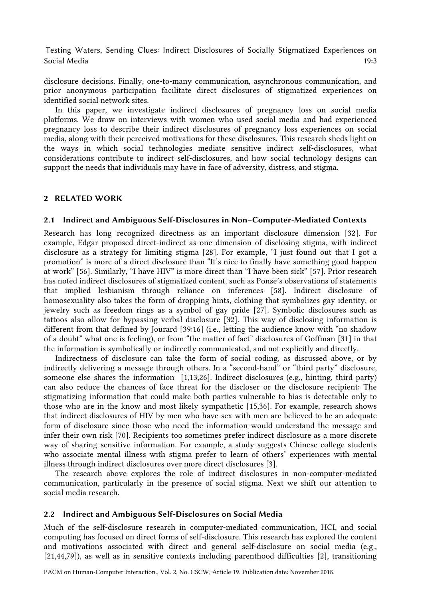disclosure decisions. Finally, one-to-many communication, asynchronous communication, and prior anonymous participation facilitate direct disclosures of stigmatized experiences on identified social network sites.

In this paper, we investigate indirect disclosures of pregnancy loss on social media platforms. We draw on interviews with women who used social media and had experienced pregnancy loss to describe their indirect disclosures of pregnancy loss experiences on social media, along with their perceived motivations for these disclosures. This research sheds light on the ways in which social technologies mediate sensitive indirect self-disclosures, what considerations contribute to indirect self-disclosures, and how social technology designs can support the needs that individuals may have in face of adversity, distress, and stigma.

#### 2 RELATED WORK

#### 2.1 Indirect and Ambiguous Self-Disclosures in Non–Computer-Mediated Contexts

Research has long recognized directness as an important disclosure dimension [32]. For example, Edgar proposed direct-indirect as one dimension of disclosing stigma, with indirect disclosure as a strategy for limiting stigma [28]. For example, "I just found out that I got a promotion" is more of a direct disclosure than "It's nice to finally have something good happen at work" [56]. Similarly, "I have HIV" is more direct than "I have been sick" [57]. Prior research has noted indirect disclosures of stigmatized content, such as Ponse's observations of statements that implied lesbianism through reliance on inferences [58]. Indirect disclosure of homosexuality also takes the form of dropping hints, clothing that symbolizes gay identity, or jewelry such as freedom rings as a symbol of gay pride [27]. Symbolic disclosures such as tattoos also allow for bypassing verbal disclosure [32]. This way of disclosing information is different from that defined by Jourard [39:16] (i.e., letting the audience know with "no shadow of a doubt" what one is feeling), or from "the matter of fact" disclosures of Goffman [31] in that the information is symbolically or indirectly communicated, and not explicitly and directly.

Indirectness of disclosure can take the form of social coding, as discussed above, or by indirectly delivering a message through others. In a "second-hand" or "third party" disclosure, someone else shares the information [1,13,26]. Indirect disclosures (e.g., hinting, third party) can also reduce the chances of face threat for the discloser or the disclosure recipient: The stigmatizing information that could make both parties vulnerable to bias is detectable only to those who are in the know and most likely sympathetic [15,36]. For example, research shows that indirect disclosures of HIV by men who have sex with men are believed to be an adequate form of disclosure since those who need the information would understand the message and infer their own risk [70]. Recipients too sometimes prefer indirect disclosure as a more discrete way of sharing sensitive information. For example, a study suggests Chinese college students who associate mental illness with stigma prefer to learn of others' experiences with mental illness through indirect disclosures over more direct disclosures [3].

The research above explores the role of indirect disclosures in non-computer-mediated communication, particularly in the presence of social stigma. Next we shift our attention to social media research.

#### 2.2 Indirect and Ambiguous Self-Disclosures on Social Media

Much of the self-disclosure research in computer-mediated communication, HCI, and social computing has focused on direct forms of self-disclosure. This research has explored the content and motivations associated with direct and general self-disclosure on social media (e.g., [21,44,79]), as well as in sensitive contexts including parenthood difficulties [2], transitioning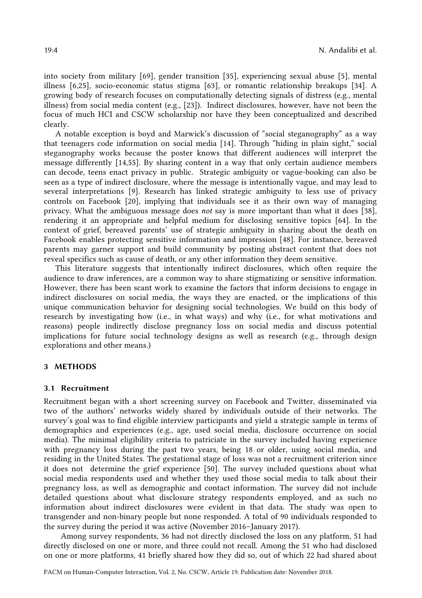into society from military [69], gender transition [35], experiencing sexual abuse [5], mental illness [6,25], socio-economic status stigma [63], or romantic relationship breakups [34]. A growing body of research focuses on computationally detecting signals of distress (e.g., mental illness) from social media content (e.g., [23]). Indirect disclosures, however, have not been the focus of much HCI and CSCW scholarship nor have they been conceptualized and described clearly.

A notable exception is boyd and Marwick's discussion of "social steganography" as a way that teenagers code information on social media [14]. Through "hiding in plain sight," social steganography works because the poster knows that different audiences will interpret the message differently [14,55]. By sharing content in a way that only certain audience members can decode, teens enact privacy in public. Strategic ambiguity or vague-booking can also be seen as a type of indirect disclosure, where the message is intentionally vague, and may lead to several interpretations [9]. Research has linked strategic ambiguity to less use of privacy controls on Facebook [20], implying that individuals see it as their own way of managing privacy. What the ambiguous message does *not* say is more important than what it does [38], rendering it an appropriate and helpful medium for disclosing sensitive topics [64]. In the context of grief, bereaved parents' use of strategic ambiguity in sharing about the death on Facebook enables protecting sensitive information and impression [48]. For instance, bereaved parents may garner support and build community by posting abstract content that does not reveal specifics such as cause of death, or any other information they deem sensitive.

This literature suggests that intentionally indirect disclosures, which often require the audience to draw inferences, are a common way to share stigmatizing or sensitive information. However, there has been scant work to examine the factors that inform decisions to engage in indirect disclosures on social media, the ways they are enacted, or the implications of this unique communication behavior for designing social technologies. We build on this body of research by investigating how (i.e., in what ways) and why (i.e., for what motivations and reasons) people indirectly disclose pregnancy loss on social media and discuss potential implications for future social technology designs as well as research (e.g., through design explorations and other means.)

# 3 METHODS

# 3.1 Recruitment

Recruitment began with a short screening survey on Facebook and Twitter, disseminated via two of the authors' networks widely shared by individuals outside of their networks. The survey's goal was to find eligible interview participants and yield a strategic sample in terms of demographics and experiences (e.g., age, used social media, disclosure occurrence on social media). The minimal eligibility criteria to patriciate in the survey included having experience with pregnancy loss during the past two years, being 18 or older, using social media, and residing in the United States. The gestational stage of loss was not a recruitment criterion since it does not determine the grief experience [50]. The survey included questions about what social media respondents used and whether they used those social media to talk about their pregnancy loss, as well as demographic and contact information. The survey did not include detailed questions about what disclosure strategy respondents employed, and as such no information about indirect disclosures were evident in that data. The study was open to transgender and non-binary people but none responded. A total of 90 individuals responded to the survey during the period it was active (November 2016–January 2017).

Among survey respondents, 36 had not directly disclosed the loss on any platform, 51 had directly disclosed on one or more, and three could not recall. Among the 51 who had disclosed on one or more platforms, 41 briefly shared how they did so, out of which 22 had shared about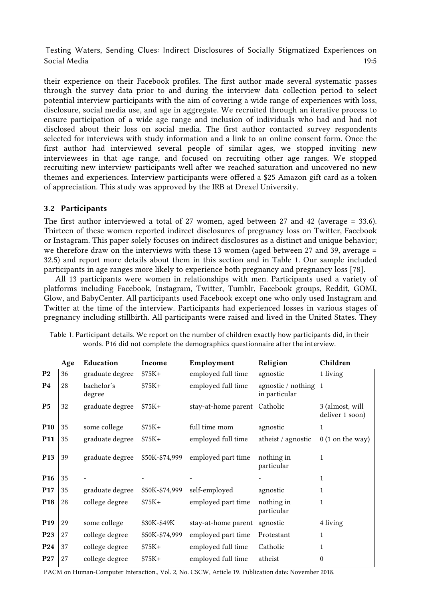their experience on their Facebook profiles. The first author made several systematic passes through the survey data prior to and during the interview data collection period to select potential interview participants with the aim of covering a wide range of experiences with loss, disclosure, social media use, and age in aggregate. We recruited through an iterative process to ensure participation of a wide age range and inclusion of individuals who had and had not disclosed about their loss on social media. The first author contacted survey respondents selected for interviews with study information and a link to an online consent form. Once the first author had interviewed several people of similar ages, we stopped inviting new interviewees in that age range, and focused on recruiting other age ranges. We stopped recruiting new interview participants well after we reached saturation and uncovered no new themes and experiences. Interview participants were offered a \$25 Amazon gift card as a token of appreciation. This study was approved by the IRB at Drexel University.

# 3.2 Participants

The first author interviewed a total of 27 women, aged between 27 and 42 (average = 33.6). Thirteen of these women reported indirect disclosures of pregnancy loss on Twitter, Facebook or Instagram. This paper solely focuses on indirect disclosures as a distinct and unique behavior; we therefore draw on the interviews with these 13 women (aged between 27 and 39, average = 32.5) and report more details about them in this section and in Table 1. Our sample included participants in age ranges more likely to experience both pregnancy and pregnancy loss [78].

All 13 participants were women in relationships with men. Participants used a variety of platforms including Facebook, Instagram, Twitter, Tumblr, Facebook groups, Reddit, GOMI, Glow, and BabyCenter. All participants used Facebook except one who only used Instagram and Twitter at the time of the interview. Participants had experienced losses in various stages of pregnancy including stillbirth. All participants were raised and lived in the United States. They

| Age | Education            | Income         | Employment          | Religion                 | Children                                             |
|-----|----------------------|----------------|---------------------|--------------------------|------------------------------------------------------|
| 36  | graduate degree      | $$75K+$        | employed full time  | agnostic                 | 1 living                                             |
| 28  | bachelor's<br>degree | $$75K+$        | employed full time  | in particular            |                                                      |
| 32  | graduate degree      | $$75K+$        |                     |                          | 3 (almost, will<br>deliver 1 soon)                   |
| 35  | some college         | $$75K+$        | full time mom       | agnostic                 | 1                                                    |
| 35  | graduate degree      | $$75K+$        | employed full time  | atheist / agnostic       | $0(1 \text{ on the way})$                            |
| 39  | graduate degree      | \$50K-\$74,999 | employed part time  | nothing in<br>particular | 1                                                    |
| 35  |                      |                |                     |                          | 1                                                    |
| 35  | graduate degree      | \$50K-\$74,999 | self-employed       | agnostic                 | 1                                                    |
| 28  | college degree       | $$75K+$        | employed part time  | nothing in<br>particular | $\mathbf{1}$                                         |
| 29  | some college         | \$30K-\$49K    | stay-at-home parent | agnostic                 | 4 living                                             |
| 27  | college degree       | \$50K-\$74,999 | employed part time  | Protestant               | 1                                                    |
| 37  | college degree       | $$75K+$        | employed full time  | Catholic                 | 1                                                    |
| 27  | college degree       | $$75K+$        | employed full time  | atheist                  | $\mathbf{0}$                                         |
|     |                      |                |                     |                          | agnostic / nothing 1<br>stay-at-home parent Catholic |

Table 1. Participant details. We report on the number of children exactly how participants did, in their words. P16 did not complete the demographics questionnaire after the interview.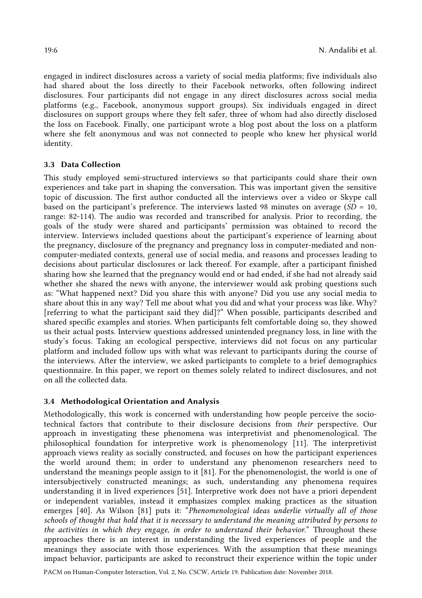engaged in indirect disclosures across a variety of social media platforms; five individuals also had shared about the loss directly to their Facebook networks, often following indirect disclosures. Four participants did not engage in any direct disclosures across social media platforms (e.g., Facebook, anonymous support groups). Six individuals engaged in direct disclosures on support groups where they felt safer, three of whom had also directly disclosed the loss on Facebook. Finally, one participant wrote a blog post about the loss on a platform where she felt anonymous and was not connected to people who knew her physical world identity.

## 3.3 Data Collection

This study employed semi-structured interviews so that participants could share their own experiences and take part in shaping the conversation. This was important given the sensitive topic of discussion. The first author conducted all the interviews over a video or Skype call based on the participant's preference. The interviews lasted 98 minutes on average (*SD* = 10, range: 82-114). The audio was recorded and transcribed for analysis. Prior to recording, the goals of the study were shared and participants' permission was obtained to record the interview. Interviews included questions about the participant's experience of learning about the pregnancy, disclosure of the pregnancy and pregnancy loss in computer-mediated and noncomputer-mediated contexts, general use of social media, and reasons and processes leading to decisions about particular disclosures or lack thereof. For example, after a participant finished sharing how she learned that the pregnancy would end or had ended, if she had not already said whether she shared the news with anyone, the interviewer would ask probing questions such as: "What happened next? Did you share this with anyone? Did you use any social media to share about this in any way? Tell me about what you did and what your process was like. Why? [referring to what the participant said they did]?" When possible, participants described and shared specific examples and stories. When participants felt comfortable doing so, they showed us their actual posts. Interview questions addressed unintended pregnancy loss, in line with the study's focus. Taking an ecological perspective, interviews did not focus on any particular platform and included follow ups with what was relevant to participants during the course of the interviews. After the interview, we asked participants to complete to a brief demographics questionnaire. In this paper, we report on themes solely related to indirect disclosures, and not on all the collected data.

## 3.4 Methodological Orientation and Analysis

Methodologically, this work is concerned with understanding how people perceive the sociotechnical factors that contribute to their disclosure decisions from *their* perspective. Our approach in investigating these phenomena was interpretivist and phenomenological. The philosophical foundation for interpretive work is phenomenology [11]. The interpretivist approach views reality as socially constructed, and focuses on how the participant experiences the world around them; in order to understand any phenomenon researchers need to understand the meanings people assign to it [81]. For the phenomenologist, the world is one of intersubjectively constructed meanings; as such, understanding any phenomena requires understanding it in lived experiences [51]. Interpretive work does not have a priori dependent or independent variables, instead it emphasizes complex making practices as the situation emerges [40]*.* As Wilson [81] puts it: "*Phenomenological ideas underlie virtually all of those schools of thought that hold that it is necessary to understand the meaning attributed by persons to the activities in which they engage, in order to understand their behavior*." Throughout these approaches there is an interest in understanding the lived experiences of people and the meanings they associate with those experiences. With the assumption that these meanings impact behavior, participants are asked to reconstruct their experience within the topic under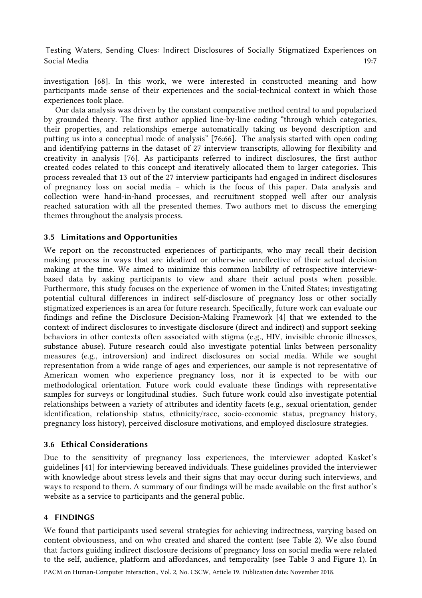investigation [68]. In this work, we were interested in constructed meaning and how participants made sense of their experiences and the social-technical context in which those experiences took place.

Our data analysis was driven by the constant comparative method central to and popularized by grounded theory. The first author applied line-by-line coding "through which categories, their properties, and relationships emerge automatically taking us beyond description and putting us into a conceptual mode of analysis" [76:66]. The analysis started with open coding and identifying patterns in the dataset of 27 interview transcripts, allowing for flexibility and creativity in analysis [76]. As participants referred to indirect disclosures, the first author created codes related to this concept and iteratively allocated them to larger categories. This process revealed that 13 out of the 27 interview participants had engaged in indirect disclosures of pregnancy loss on social media – which is the focus of this paper. Data analysis and collection were hand-in-hand processes, and recruitment stopped well after our analysis reached saturation with all the presented themes. Two authors met to discuss the emerging themes throughout the analysis process.

# 3.5 Limitations and Opportunities

We report on the reconstructed experiences of participants, who may recall their decision making process in ways that are idealized or otherwise unreflective of their actual decision making at the time. We aimed to minimize this common liability of retrospective interviewbased data by asking participants to view and share their actual posts when possible. Furthermore, this study focuses on the experience of women in the United States; investigating potential cultural differences in indirect self-disclosure of pregnancy loss or other socially stigmatized experiences is an area for future research. Specifically, future work can evaluate our findings and refine the Disclosure Decision-Making Framework [4] that we extended to the context of indirect disclosures to investigate disclosure (direct and indirect) and support seeking behaviors in other contexts often associated with stigma (e.g., HIV, invisible chronic illnesses, substance abuse). Future research could also investigate potential links between personality measures (e.g., introversion) and indirect disclosures on social media. While we sought representation from a wide range of ages and experiences, our sample is not representative of American women who experience pregnancy loss, nor it is expected to be with our methodological orientation. Future work could evaluate these findings with representative samples for surveys or longitudinal studies. Such future work could also investigate potential relationships between a variety of attributes and identity facets (e.g., sexual orientation, gender identification, relationship status, ethnicity/race, socio-economic status, pregnancy history, pregnancy loss history), perceived disclosure motivations, and employed disclosure strategies.

## 3.6 Ethical Considerations

Due to the sensitivity of pregnancy loss experiences, the interviewer adopted Kasket's guidelines [41] for interviewing bereaved individuals. These guidelines provided the interviewer with knowledge about stress levels and their signs that may occur during such interviews, and ways to respond to them. A summary of our findings will be made available on the first author's website as a service to participants and the general public.

# 4 FINDINGS

We found that participants used several strategies for achieving indirectness, varying based on content obviousness, and on who created and shared the content (see Table 2). We also found that factors guiding indirect disclosure decisions of pregnancy loss on social media were related to the self, audience, platform and affordances, and temporality (see Table 3 and Figure 1). In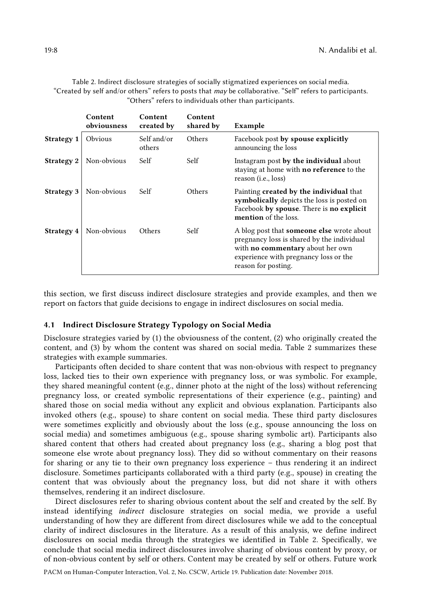Table 2. Indirect disclosure strategies of socially stigmatized experiences on social media. "Created by self and/or others" refers to posts that *may* be collaborative. "Self" refers to participants. "Others" refers to individuals other than participants.

|                   | Content<br>obviousness | Content<br>created by | Content<br>shared by | Example                                                                                                                                                                                            |
|-------------------|------------------------|-----------------------|----------------------|----------------------------------------------------------------------------------------------------------------------------------------------------------------------------------------------------|
| <b>Strategy 1</b> | Obvious                | Self and/or<br>others | Others               | Facebook post by spouse explicitly<br>announcing the loss                                                                                                                                          |
| Strategy 2        | Non-obvious            | Self                  | Self                 | Instagram post by the individual about<br>staying at home with no reference to the<br>reason (i.e., loss)                                                                                          |
| Strategy 3        | Non-obvious            | Self                  | Others               | Painting <b>created by the individual</b> that<br>symbolically depicts the loss is posted on<br>Facebook by spouse. There is no explicit<br>mention of the loss.                                   |
| Strategy 4        | Non-obvious            | Others                | Self                 | A blog post that <b>someone else</b> wrote about<br>pregnancy loss is shared by the individual<br>with no commentary about her own<br>experience with pregnancy loss or the<br>reason for posting. |

this section, we first discuss indirect disclosure strategies and provide examples, and then we report on factors that guide decisions to engage in indirect disclosures on social media.

#### 4.1 Indirect Disclosure Strategy Typology on Social Media

Disclosure strategies varied by (1) the obviousness of the content, (2) who originally created the content, and (3) by whom the content was shared on social media. Table 2 summarizes these strategies with example summaries.

Participants often decided to share content that was non-obvious with respect to pregnancy loss, lacked ties to their own experience with pregnancy loss, or was symbolic. For example, they shared meaningful content (e.g., dinner photo at the night of the loss) without referencing pregnancy loss, or created symbolic representations of their experience (e.g., painting) and shared those on social media without any explicit and obvious explanation. Participants also invoked others (e.g., spouse) to share content on social media. These third party disclosures were sometimes explicitly and obviously about the loss (e.g., spouse announcing the loss on social media) and sometimes ambiguous (e.g., spouse sharing symbolic art). Participants also shared content that others had created about pregnancy loss (e.g., sharing a blog post that someone else wrote about pregnancy loss). They did so without commentary on their reasons for sharing or any tie to their own pregnancy loss experience – thus rendering it an indirect disclosure. Sometimes participants collaborated with a third party (e.g., spouse) in creating the content that was obviously about the pregnancy loss, but did not share it with others themselves, rendering it an indirect disclosure.

Direct disclosures refer to sharing obvious content about the self and created by the self. By instead identifying *indirect* disclosure strategies on social media, we provide a useful understanding of how they are different from direct disclosures while we add to the conceptual clarity of indirect disclosures in the literature. As a result of this analysis, we define indirect disclosures on social media through the strategies we identified in Table 2. Specifically, we conclude that social media indirect disclosures involve sharing of obvious content by proxy, or of non-obvious content by self or others. Content may be created by self or others. Future work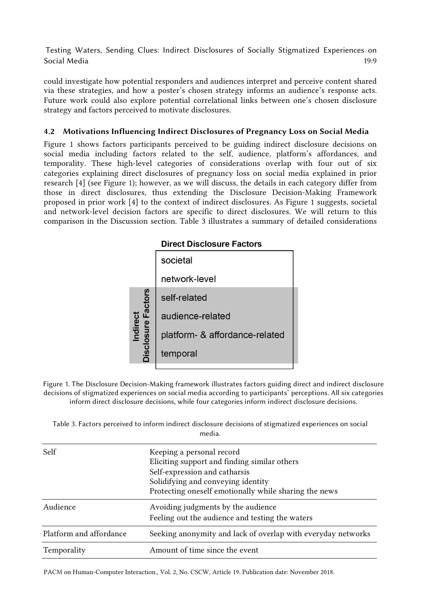could investigate how potential responders and audiences interpret and perceive content shared via these strategies, and how a poster's chosen strategy informs an audience's response acts. Future work could also explore potential correlational links between one's chosen disclosure strategy and factors perceived to motivate disclosures.

# 4.2 Motivations Influencing Indirect Disclosures of Pregnancy Loss on Social Media

Figure 1 shows factors participants perceived to be guiding indirect disclosure decisions on social media including factors related to the self, audience, platform's affordances, and temporality. These high-level categories of considerations overlap with four out of six categories explaining direct disclosures of pregnancy loss on social media explained in prior research [4] (see Figure 1); however, as we will discuss, the details in each category differ from those in direct disclosures, thus extending the Disclosure Decision-Making Framework proposed in prior work [4] to the context of indirect disclosures. As Figure 1 suggests, societal and network-level decision factors are specific to direct disclosures. We will return to this comparison in the Discussion section. Table 3 illustrates a summary of detailed considerations



# **Direct Disclosure Factors**

Figure 1. The Disclosure Decision-Making framework illustrates factors guiding direct and indirect disclosure decisions of stigmatized experiences on social media according to participants' perceptions. All six categories inform direct disclosure decisions, while four categories inform indirect disclosure decisions.

Table 3. Factors perceived to inform indirect disclosure decisions of stigmatized experiences on social media.

| Self                    | Keeping a personal record<br>Eliciting support and finding similar others<br>Self-expression and catharsis<br>Solidifying and conveying identity<br>Protecting oneself emotionally while sharing the news |
|-------------------------|-----------------------------------------------------------------------------------------------------------------------------------------------------------------------------------------------------------|
| Audience                | Avoiding judgments by the audience<br>Feeling out the audience and testing the waters                                                                                                                     |
| Platform and affordance | Seeking anonymity and lack of overlap with everyday networks                                                                                                                                              |
| Temporality             | Amount of time since the event                                                                                                                                                                            |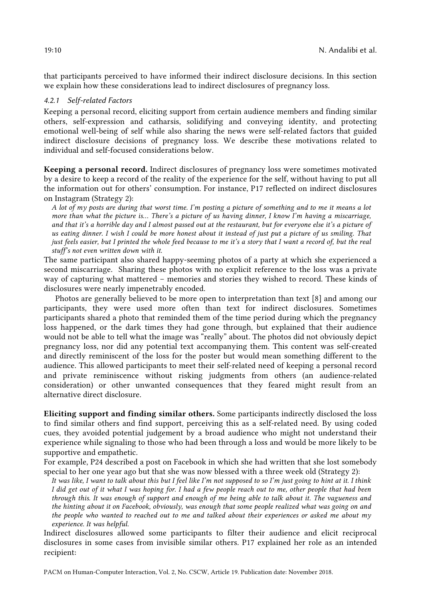that participants perceived to have informed their indirect disclosure decisions. In this section we explain how these considerations lead to indirect disclosures of pregnancy loss.

# *4.2.1 Self-related Factors*

Keeping a personal record, eliciting support from certain audience members and finding similar others, self-expression and catharsis, solidifying and conveying identity, and protecting emotional well-being of self while also sharing the news were self-related factors that guided indirect disclosure decisions of pregnancy loss. We describe these motivations related to individual and self-focused considerations below.

Keeping a personal record. Indirect disclosures of pregnancy loss were sometimes motivated by a desire to keep a record of the reality of the experience for the self, without having to put all the information out for others' consumption. For instance, P17 reflected on indirect disclosures on Instagram (Strategy 2):

*A lot of my posts are during that worst time. I'm posting a picture of something and to me it means a lot more than what the picture is… There's a picture of us having dinner, I know I'm having a miscarriage, and that it's a horrible day and I almost passed out at the restaurant, but for everyone else it's a picture of us eating dinner. I wish I could be more honest about it instead of just put a picture of us smiling. That just feels easier, but I printed the whole feed because to me it's a story that I want a record of, but the real stuff's not even written down with it.* 

The same participant also shared happy-seeming photos of a party at which she experienced a second miscarriage. Sharing these photos with no explicit reference to the loss was a private way of capturing what mattered – memories and stories they wished to record. These kinds of disclosures were nearly impenetrably encoded.

Photos are generally believed to be more open to interpretation than text [8] and among our participants, they were used more often than text for indirect disclosures. Sometimes participants shared a photo that reminded them of the time period during which the pregnancy loss happened, or the dark times they had gone through, but explained that their audience would not be able to tell what the image was "really" about. The photos did not obviously depict pregnancy loss, nor did any potential text accompanying them. This content was self-created and directly reminiscent of the loss for the poster but would mean something different to the audience. This allowed participants to meet their self-related need of keeping a personal record and private reminiscence without risking judgments from others (an audience-related consideration) or other unwanted consequences that they feared might result from an alternative direct disclosure.

Eliciting support and finding similar others. Some participants indirectly disclosed the loss to find similar others and find support, perceiving this as a self-related need. By using coded cues, they avoided potential judgement by a broad audience who might not understand their experience while signaling to those who had been through a loss and would be more likely to be supportive and empathetic.

For example, P24 described a post on Facebook in which she had written that she lost somebody special to her one year ago but that she was now blessed with a three week old (Strategy 2):

*It was like, I want to talk about this but I feel like I'm not supposed to so I'm just going to hint at it. I think I did get out of it what I was hoping for. I had a few people reach out to me, other people that had been through this. It was enough of support and enough of me being able to talk about it. The vagueness and the hinting about it on Facebook, obviously, was enough that some people realized what was going on and the people who wanted to reached out to me and talked about their experiences or asked me about my experience. It was helpful.*

Indirect disclosures allowed some participants to filter their audience and elicit reciprocal disclosures in some cases from invisible similar others. P17 explained her role as an intended recipient: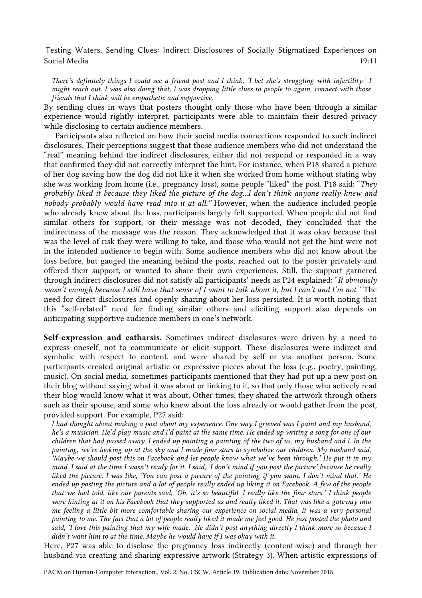*There's definitely things I could see a friend post and I think, 'I bet she's struggling with infertility.' I might reach out. I was also doing that, I was dropping little clues to people to again, connect with those friends that I think will be empathetic and supportive.*

By sending clues in ways that posters thought only those who have been through a similar experience would rightly interpret, participants were able to maintain their desired privacy while disclosing to certain audience members.

Participants also reflected on how their social media connections responded to such indirect disclosures. Their perceptions suggest that those audience members who did not understand the "real" meaning behind the indirect disclosures, either did not respond or responded in a way that confirmed they did not correctly interpret the hint. For instance, when P18 shared a picture of her dog saying how the dog did not like it when she worked from home without stating why she was working from home (i.e., pregnancy loss), some people "liked" the post. P18 said: "*They probably liked it because they liked the picture of the dog...I don't think anyone really knew and nobody probably would have read into it at all."* However, when the audience included people who already knew about the loss, participants largely felt supported. When people did not find similar others for support, or their message was not decoded, they concluded that the indirectness of the message was the reason. They acknowledged that it was okay because that was the level of risk they were willing to take, and those who would not get the hint were not in the intended audience to begin with. Some audience members who did not know about the loss before, but gauged the meaning behind the posts, reached out to the poster privately and offered their support, or wanted to share their own experiences. Still, the support garnered through indirect disclosures did not satisfy all participants' needs as P24 explained: "*It obviously wasn't enough because I still have that sense of I want to talk about it, but I can't and I'm not*." The need for direct disclosures and openly sharing about her loss persisted. It is worth noting that this "self-related" need for finding similar others and eliciting support also depends on anticipating supportive audience members in one's network.

Self-expression and catharsis. Sometimes indirect disclosures were driven by a need to express oneself, not to communicate or elicit support. These disclosures were indirect and symbolic with respect to content, and were shared by self or via another person. Some participants created original artistic or expressive pieces about the loss (e.g., poetry, painting, music). On social media, sometimes participants mentioned that they had put up a new post on their blog without saying what it was about or linking to it, so that only those who actively read their blog would know what it was about. Other times, they shared the artwork through others such as their spouse, and some who knew about the loss already or would gather from the post, provided support. For example, P27 said:

*I had thought about making a post about my experience. One way I grieved was I paint and my husband, he's a musician. He'd play music and I'd paint at the same time. He ended up writing a song for one of our children that had passed away. I ended up painting a painting of the two of us, my husband and I. In the painting, we're looking up at the sky and I made four stars to symbolize our children. My husband said, 'Maybe we should post this on Facebook and let people know what we've been through.' He put it in my mind. I said at the time I wasn't ready for it. I said, 'I don't mind if you post the picture' because he really liked the picture. I was like, 'You can post a picture of the painting if you want. I don't mind that.' He ended up posting the picture and a lot of people really ended up liking it on Facebook. A few of the people that we had told, like our parents said, 'Oh, it's so beautiful. I really like the four stars.' I think people were hinting at it on his Facebook that they supported us and really liked it. That was like a gateway into me feeling a little bit more comfortable sharing our experience on social media. It was a very personal painting to me. The fact that a lot of people really liked it made me feel good. He just posted the photo and said, 'I love this painting that my wife made.' He didn't post anything directly I think more so because I didn't want him to at the time. Maybe he would have if I was okay with it.*

Here, P27 was able to disclose the pregnancy loss indirectly (content-wise) and through her husband via creating and sharing expressive artwork (Strategy 3). When artistic expressions of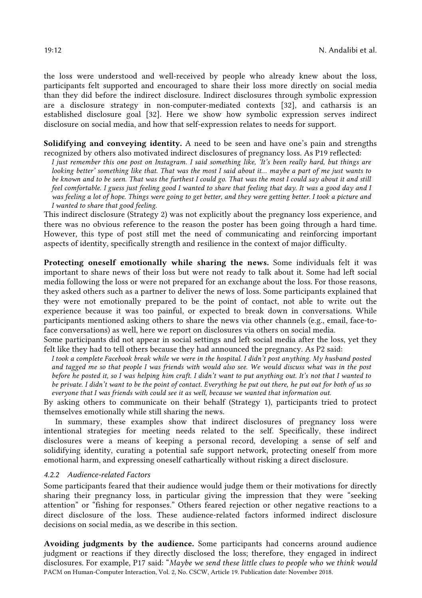the loss were understood and well-received by people who already knew about the loss, participants felt supported and encouraged to share their loss more directly on social media than they did before the indirect disclosure. Indirect disclosures through symbolic expression are a disclosure strategy in non-computer-mediated contexts [32], and catharsis is an established disclosure goal [32]. Here we show how symbolic expression serves indirect disclosure on social media, and how that self-expression relates to needs for support.

Solidifying and conveying identity. A need to be seen and have one's pain and strengths recognized by others also motivated indirect disclosures of pregnancy loss. As P19 reflected:

*I just remember this one post on Instagram. I said something like, 'It's been really hard, but things are looking better' something like that. That was the most I said about it… maybe a part of me just wants to be known and to be seen. That was the furthest I could go. That was the most I could say about it and still feel comfortable. I guess just feeling good I wanted to share that feeling that day. It was a good day and I was feeling a lot of hope. Things were going to get better, and they were getting better. I took a picture and I wanted to share that good feeling.*

This indirect disclosure (Strategy 2) was not explicitly about the pregnancy loss experience, and there was no obvious reference to the reason the poster has been going through a hard time. However, this type of post still met the need of communicating and reinforcing important aspects of identity, specifically strength and resilience in the context of major difficulty.

Protecting oneself emotionally while sharing the news. Some individuals felt it was important to share news of their loss but were not ready to talk about it. Some had left social media following the loss or were not prepared for an exchange about the loss. For those reasons, they asked others such as a partner to deliver the news of loss. Some participants explained that they were not emotionally prepared to be the point of contact, not able to write out the experience because it was too painful, or expected to break down in conversations. While participants mentioned asking others to share the news via other channels (e.g., email, face-toface conversations) as well, here we report on disclosures via others on social media.

Some participants did not appear in social settings and left social media after the loss, yet they felt like they had to tell others because they had announced the pregnancy. As P2 said:

*I took a complete Facebook break while we were in the hospital. I didn't post anything. My husband posted and tagged me so that people I was friends with would also see. We would discuss what was in the post before he posted it, so I was helping him craft. I didn't want to put anything out. It's not that I wanted to be private. I didn't want to be the point of contact. Everything he put out there, he put out for both of us so everyone that I was friends with could see it as well, because we wanted that information out.*

By asking others to communicate on their behalf (Strategy 1), participants tried to protect themselves emotionally while still sharing the news.

In summary, these examples show that indirect disclosures of pregnancy loss were intentional strategies for meeting needs related to the self. Specifically, these indirect disclosures were a means of keeping a personal record, developing a sense of self and solidifying identity, curating a potential safe support network, protecting oneself from more emotional harm, and expressing oneself cathartically without risking a direct disclosure.

# *4.2.2 Audience-related Factors*

Some participants feared that their audience would judge them or their motivations for directly sharing their pregnancy loss, in particular giving the impression that they were "seeking attention" or "fishing for responses." Others feared rejection or other negative reactions to a direct disclosure of the loss. These audience-related factors informed indirect disclosure decisions on social media, as we describe in this section.

PACM on Human-Computer Interaction, Vol. 2, No. CSCW, Article 19. Publication date: November 2018. Avoiding judgments by the audience. Some participants had concerns around audience judgment or reactions if they directly disclosed the loss; therefore, they engaged in indirect disclosures. For example, P17 said: "*Maybe we send these little clues to people who we think would*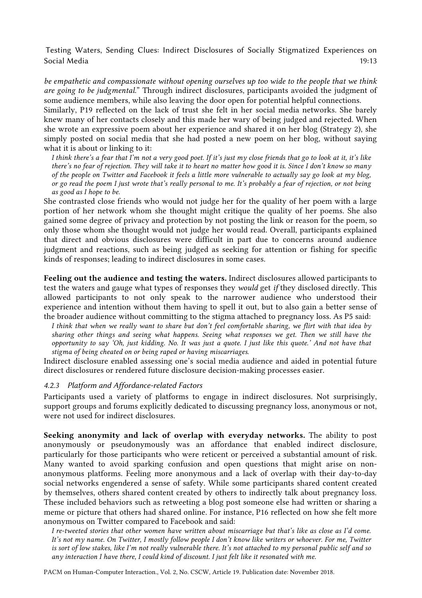*be empathetic and compassionate without opening ourselves up too wide to the people that we think are going to be judgmental.*" Through indirect disclosures, participants avoided the judgment of some audience members, while also leaving the door open for potential helpful connections. Similarly, P19 reflected on the lack of trust she felt in her social media networks. She barely knew many of her contacts closely and this made her wary of being judged and rejected. When she wrote an expressive poem about her experience and shared it on her blog (Strategy 2), she simply posted on social media that she had posted a new poem on her blog, without saying what it is about or linking to it:

*I think there's a fear that I'm not a very good poet. If it's just my close friends that go to look at it, it's like there's no fear of rejection. They will take it to heart no matter how good it is. Since I don't know so many of the people on Twitter and Facebook it feels a little more vulnerable to actually say go look at my blog, or go read the poem I just wrote that's really personal to me. It's probably a fear of rejection, or not being as good as I hope to be.*

She contrasted close friends who would not judge her for the quality of her poem with a large portion of her network whom she thought might critique the quality of her poems. She also gained some degree of privacy and protection by not posting the link or reason for the poem, so only those whom she thought would not judge her would read. Overall, participants explained that direct and obvious disclosures were difficult in part due to concerns around audience judgment and reactions, such as being judged as seeking for attention or fishing for specific kinds of responses; leading to indirect disclosures in some cases.

Feeling out the audience and testing the waters. Indirect disclosures allowed participants to test the waters and gauge what types of responses they *would* get *if* they disclosed directly. This allowed participants to not only speak to the narrower audience who understood their experience and intention without them having to spell it out, but to also gain a better sense of the broader audience without committing to the stigma attached to pregnancy loss. As P5 said:

*I think that when we really want to share but don't feel comfortable sharing, we flirt with that idea by sharing other things and seeing what happens. Seeing what responses we get. Then we still have the opportunity to say 'Oh, just kidding. No. It was just a quote. I just like this quote.' And not have that stigma of being cheated on or being raped or having miscarriages.*

Indirect disclosure enabled assessing one's social media audience and aided in potential future direct disclosures or rendered future disclosure decision-making processes easier.

## *4.2.3 Platform and Affordance-related Factors*

Participants used a variety of platforms to engage in indirect disclosures. Not surprisingly, support groups and forums explicitly dedicated to discussing pregnancy loss, anonymous or not, were not used for indirect disclosures.

Seeking anonymity and lack of overlap with everyday networks. The ability to post anonymously or pseudonymously was an affordance that enabled indirect disclosure, particularly for those participants who were reticent or perceived a substantial amount of risk. Many wanted to avoid sparking confusion and open questions that might arise on nonanonymous platforms. Feeling more anonymous and a lack of overlap with their day-to-day social networks engendered a sense of safety. While some participants shared content created by themselves, others shared content created by others to indirectly talk about pregnancy loss. These included behaviors such as retweeting a blog post someone else had written or sharing a meme or picture that others had shared online. For instance, P16 reflected on how she felt more anonymous on Twitter compared to Facebook and said:

*I re-tweeted stories that other women have written about miscarriage but that's like as close as I'd come. It's not my name. On Twitter, I mostly follow people I don't know like writers or whoever. For me, Twitter is sort of low stakes, like I'm not really vulnerable there. It's not attached to my personal public self and so*  any interaction I have there, I could kind of discount. I just felt like it resonated with me.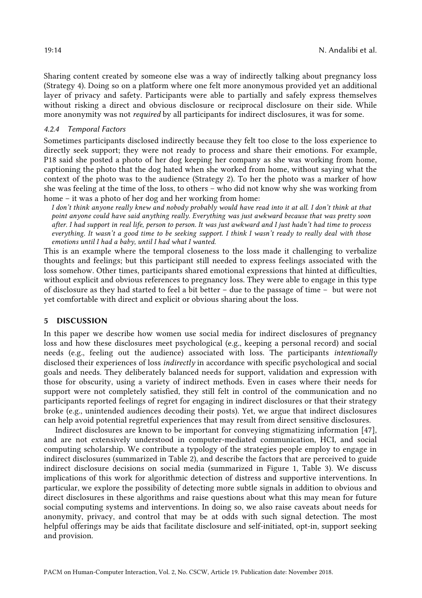Sharing content created by someone else was a way of indirectly talking about pregnancy loss (Strategy 4). Doing so on a platform where one felt more anonymous provided yet an additional layer of privacy and safety. Participants were able to partially and safely express themselves without risking a direct and obvious disclosure or reciprocal disclosure on their side. While more anonymity was not *required* by all participants for indirect disclosures, it was for some.

#### *4.2.4 Temporal Factors*

Sometimes participants disclosed indirectly because they felt too close to the loss experience to directly seek support; they were not ready to process and share their emotions. For example, P18 said she posted a photo of her dog keeping her company as she was working from home, captioning the photo that the dog hated when she worked from home, without saying what the context of the photo was to the audience (Strategy 2). To her the photo was a marker of how she was feeling at the time of the loss, to others – who did not know why she was working from home – it was a photo of her dog and her working from home:

*I don't think anyone really knew and nobody probably would have read into it at all. I don't think at that point anyone could have said anything really. Everything was just awkward because that was pretty soon after. I had support in real life, person to person. It was just awkward and I just hadn't had time to process everything. It wasn't a good time to be seeking support. I think I wasn't ready to really deal with those emotions until I had a baby, until I had what I wanted.*

This is an example where the temporal closeness to the loss made it challenging to verbalize thoughts and feelings; but this participant still needed to express feelings associated with the loss somehow. Other times, participants shared emotional expressions that hinted at difficulties, without explicit and obvious references to pregnancy loss. They were able to engage in this type of disclosure as they had started to feel a bit better – due to the passage of time – but were not yet comfortable with direct and explicit or obvious sharing about the loss.

#### 5 DISCUSSION

In this paper we describe how women use social media for indirect disclosures of pregnancy loss and how these disclosures meet psychological (e.g., keeping a personal record) and social needs (e.g., feeling out the audience) associated with loss. The participants *intentionally* disclosed their experiences of loss *indirectly* in accordance with specific psychological and social goals and needs. They deliberately balanced needs for support, validation and expression with those for obscurity, using a variety of indirect methods. Even in cases where their needs for support were not completely satisfied, they still felt in control of the communication and no participants reported feelings of regret for engaging in indirect disclosures or that their strategy broke (e.g., unintended audiences decoding their posts). Yet, we argue that indirect disclosures can help avoid potential regretful experiences that may result from direct sensitive disclosures.

Indirect disclosures are known to be important for conveying stigmatizing information [47], and are not extensively understood in computer-mediated communication, HCI, and social computing scholarship. We contribute a typology of the strategies people employ to engage in indirect disclosures (summarized in Table 2), and describe the factors that are perceived to guide indirect disclosure decisions on social media (summarized in Figure 1, Table 3). We discuss implications of this work for algorithmic detection of distress and supportive interventions. In particular, we explore the possibility of detecting more subtle signals in addition to obvious and direct disclosures in these algorithms and raise questions about what this may mean for future social computing systems and interventions. In doing so, we also raise caveats about needs for anonymity, privacy, and control that may be at odds with such signal detection. The most helpful offerings may be aids that facilitate disclosure and self-initiated, opt-in, support seeking and provision.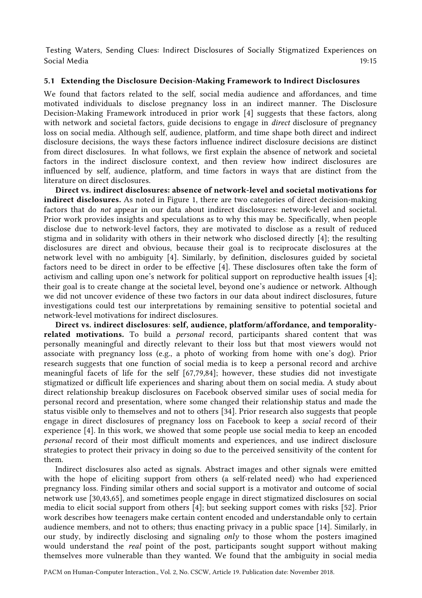#### 5.1 Extending the Disclosure Decision-Making Framework to Indirect Disclosures

We found that factors related to the self, social media audience and affordances, and time motivated individuals to disclose pregnancy loss in an indirect manner. The Disclosure Decision-Making Framework introduced in prior work [4] suggests that these factors, along with network and societal factors, guide decisions to engage in *direct* disclosure of pregnancy loss on social media. Although self, audience, platform, and time shape both direct and indirect disclosure decisions, the ways these factors influence indirect disclosure decisions are distinct from direct disclosures. In what follows, we first explain the absence of network and societal factors in the indirect disclosure context, and then review how indirect disclosures are influenced by self, audience, platform, and time factors in ways that are distinct from the literature on direct disclosures.

Direct vs. indirect disclosures: absence of network-level and societal motivations for indirect disclosures. As noted in Figure 1, there are two categories of direct decision-making factors that do *not* appear in our data about indirect disclosures: network-level and societal. Prior work provides insights and speculations as to why this may be. Specifically, when people disclose due to network-level factors, they are motivated to disclose as a result of reduced stigma and in solidarity with others in their network who disclosed directly [4]; the resulting disclosures are direct and obvious, because their goal is to reciprocate disclosures at the network level with no ambiguity [4]. Similarly, by definition, disclosures guided by societal factors need to be direct in order to be effective [4]. These disclosures often take the form of activism and calling upon one's network for political support on reproductive health issues [4]; their goal is to create change at the societal level, beyond one's audience or network. Although we did not uncover evidence of these two factors in our data about indirect disclosures, future investigations could test our interpretations by remaining sensitive to potential societal and network-level motivations for indirect disclosures.

Direct vs. indirect disclosures: self, audience, platform/affordance, and temporalityrelated motivations. To build a *personal* record, participants shared content that was personally meaningful and directly relevant to their loss but that most viewers would not associate with pregnancy loss (e.g., a photo of working from home with one's dog). Prior research suggests that one function of social media is to keep a personal record and archive meaningful facets of life for the self [67,79,84]; however, these studies did not investigate stigmatized or difficult life experiences and sharing about them on social media. A study about direct relationship breakup disclosures on Facebook observed similar uses of social media for personal record and presentation, where some changed their relationship status and made the status visible only to themselves and not to others [34]. Prior research also suggests that people engage in direct disclosures of pregnancy loss on Facebook to keep a *social* record of their experience [4]. In this work, we showed that some people use social media to keep an encoded *personal* record of their most difficult moments and experiences, and use indirect disclosure strategies to protect their privacy in doing so due to the perceived sensitivity of the content for them.

Indirect disclosures also acted as signals. Abstract images and other signals were emitted with the hope of eliciting support from others (a self-related need) who had experienced pregnancy loss. Finding similar others and social support is a motivator and outcome of social network use [30,43,65], and sometimes people engage in direct stigmatized disclosures on social media to elicit social support from others [4]; but seeking support comes with risks [52]. Prior work describes how teenagers make certain content encoded and understandable only to certain audience members, and not to others; thus enacting privacy in a public space [14]. Similarly, in our study, by indirectly disclosing and signaling *only* to those whom the posters imagined would understand the *real* point of the post, participants sought support without making themselves more vulnerable than they wanted. We found that the ambiguity in social media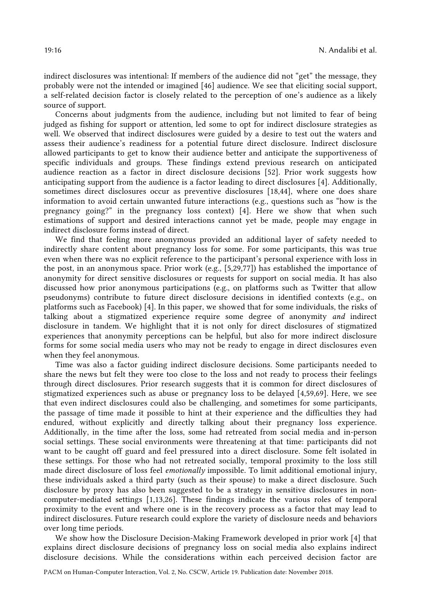indirect disclosures was intentional: If members of the audience did not "get" the message, they probably were not the intended or imagined [46] audience. We see that eliciting social support, a self-related decision factor is closely related to the perception of one's audience as a likely source of support.

Concerns about judgments from the audience, including but not limited to fear of being judged as fishing for support or attention, led some to opt for indirect disclosure strategies as well. We observed that indirect disclosures were guided by a desire to test out the waters and assess their audience's readiness for a potential future direct disclosure. Indirect disclosure allowed participants to get to know their audience better and anticipate the supportiveness of specific individuals and groups. These findings extend previous research on anticipated audience reaction as a factor in direct disclosure decisions [52]. Prior work suggests how anticipating support from the audience is a factor leading to direct disclosures [4]. Additionally, sometimes direct disclosures occur as preventive disclosures [18,44], where one does share information to avoid certain unwanted future interactions (e.g., questions such as "how is the pregnancy going?" in the pregnancy loss context) [4]. Here we show that when such estimations of support and desired interactions cannot yet be made, people may engage in indirect disclosure forms instead of direct.

We find that feeling more anonymous provided an additional layer of safety needed to indirectly share content about pregnancy loss for some. For some participants, this was true even when there was no explicit reference to the participant's personal experience with loss in the post, in an anonymous space. Prior work (e.g., [5,29,77]) has established the importance of anonymity for direct sensitive disclosures or requests for support on social media. It has also discussed how prior anonymous participations (e.g., on platforms such as Twitter that allow pseudonyms) contribute to future direct disclosure decisions in identified contexts (e.g., on platforms such as Facebook) [4]. In this paper, we showed that for some individuals, the risks of talking about a stigmatized experience require some degree of anonymity *and* indirect disclosure in tandem. We highlight that it is not only for direct disclosures of stigmatized experiences that anonymity perceptions can be helpful, but also for more indirect disclosure forms for some social media users who may not be ready to engage in direct disclosures even when they feel anonymous.

Time was also a factor guiding indirect disclosure decisions. Some participants needed to share the news but felt they were too close to the loss and not ready to process their feelings through direct disclosures. Prior research suggests that it is common for direct disclosures of stigmatized experiences such as abuse or pregnancy loss to be delayed [4,59,69]. Here, we see that even indirect disclosures could also be challenging, and sometimes for some participants, the passage of time made it possible to hint at their experience and the difficulties they had endured, without explicitly and directly talking about their pregnancy loss experience. Additionally, in the time after the loss, some had retreated from social media and in-person social settings. These social environments were threatening at that time: participants did not want to be caught off guard and feel pressured into a direct disclosure. Some felt isolated in these settings. For those who had not retreated socially, temporal proximity to the loss still made direct disclosure of loss feel *emotionally* impossible. To limit additional emotional injury, these individuals asked a third party (such as their spouse) to make a direct disclosure. Such disclosure by proxy has also been suggested to be a strategy in sensitive disclosures in noncomputer-mediated settings [1,13,26]. These findings indicate the various roles of temporal proximity to the event and where one is in the recovery process as a factor that may lead to indirect disclosures. Future research could explore the variety of disclosure needs and behaviors over long time periods.

We show how the Disclosure Decision-Making Framework developed in prior work [4] that explains direct disclosure decisions of pregnancy loss on social media also explains indirect disclosure decisions. While the considerations within each perceived decision factor are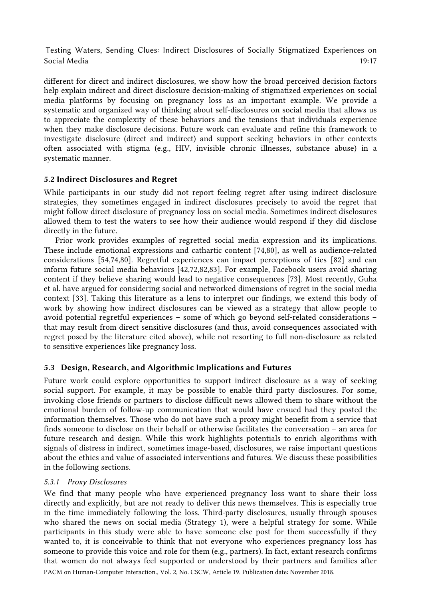different for direct and indirect disclosures, we show how the broad perceived decision factors help explain indirect and direct disclosure decision-making of stigmatized experiences on social media platforms by focusing on pregnancy loss as an important example. We provide a systematic and organized way of thinking about self-disclosures on social media that allows us to appreciate the complexity of these behaviors and the tensions that individuals experience when they make disclosure decisions. Future work can evaluate and refine this framework to investigate disclosure (direct and indirect) and support seeking behaviors in other contexts often associated with stigma (e.g., HIV, invisible chronic illnesses, substance abuse) in a systematic manner.

# 5.2 Indirect Disclosures and Regret

While participants in our study did not report feeling regret after using indirect disclosure strategies, they sometimes engaged in indirect disclosures precisely to avoid the regret that might follow direct disclosure of pregnancy loss on social media. Sometimes indirect disclosures allowed them to test the waters to see how their audience would respond if they did disclose directly in the future.

Prior work provides examples of regretted social media expression and its implications. These include emotional expressions and cathartic content [74,80], as well as audience-related considerations [54,74,80]. Regretful experiences can impact perceptions of ties [82] and can inform future social media behaviors [42,72,82,83]. For example, Facebook users avoid sharing content if they believe sharing would lead to negative consequences [73]. Most recently, Guha et al. have argued for considering social and networked dimensions of regret in the social media context [33]. Taking this literature as a lens to interpret our findings, we extend this body of work by showing how indirect disclosures can be viewed as a strategy that allow people to avoid potential regretful experiences – some of which go beyond self-related considerations – that may result from direct sensitive disclosures (and thus, avoid consequences associated with regret posed by the literature cited above), while not resorting to full non-disclosure as related to sensitive experiences like pregnancy loss.

# 5.3 Design, Research, and Algorithmic Implications and Futures

Future work could explore opportunities to support indirect disclosure as a way of seeking social support. For example, it may be possible to enable third party disclosures. For some, invoking close friends or partners to disclose difficult news allowed them to share without the emotional burden of follow-up communication that would have ensued had they posted the information themselves. Those who do not have such a proxy might benefit from a service that finds someone to disclose on their behalf or otherwise facilitates the conversation – an area for future research and design. While this work highlights potentials to enrich algorithms with signals of distress in indirect, sometimes image-based, disclosures, we raise important questions about the ethics and value of associated interventions and futures. We discuss these possibilities in the following sections.

## *5.3.1 Proxy Disclosures*

We find that many people who have experienced pregnancy loss want to share their loss directly and explicitly, but are not ready to deliver this news themselves. This is especially true in the time immediately following the loss. Third-party disclosures, usually through spouses who shared the news on social media (Strategy 1), were a helpful strategy for some. While participants in this study were able to have someone else post for them successfully if they wanted to, it is conceivable to think that not everyone who experiences pregnancy loss has someone to provide this voice and role for them (e.g., partners). In fact, extant research confirms that women do not always feel supported or understood by their partners and families after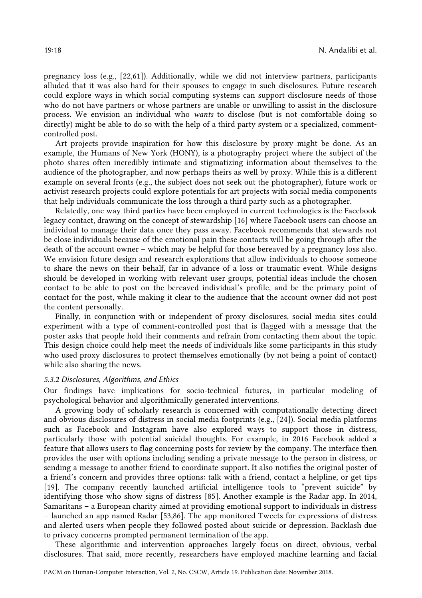pregnancy loss (e.g., [22,61]). Additionally, while we did not interview partners, participants alluded that it was also hard for their spouses to engage in such disclosures. Future research could explore ways in which social computing systems can support disclosure needs of those who do not have partners or whose partners are unable or unwilling to assist in the disclosure process. We envision an individual who *wants* to disclose (but is not comfortable doing so directly) might be able to do so with the help of a third party system or a specialized, commentcontrolled post.

Art projects provide inspiration for how this disclosure by proxy might be done. As an example, the Humans of New York (HONY), is a photography project where the subject of the photo shares often incredibly intimate and stigmatizing information about themselves to the audience of the photographer, and now perhaps theirs as well by proxy. While this is a different example on several fronts (e.g., the subject does not seek out the photographer), future work or activist research projects could explore potentials for art projects with social media components that help individuals communicate the loss through a third party such as a photographer.

Relatedly, one way third parties have been employed in current technologies is the Facebook legacy contact, drawing on the concept of stewardship [16] where Facebook users can choose an individual to manage their data once they pass away. Facebook recommends that stewards not be close individuals because of the emotional pain these contacts will be going through after the death of the account owner – which may be helpful for those bereaved by a pregnancy loss also. We envision future design and research explorations that allow individuals to choose someone to share the news on their behalf, far in advance of a loss or traumatic event. While designs should be developed in working with relevant user groups, potential ideas include the chosen contact to be able to post on the bereaved individual's profile, and be the primary point of contact for the post, while making it clear to the audience that the account owner did not post the content personally.

Finally, in conjunction with or independent of proxy disclosures, social media sites could experiment with a type of comment-controlled post that is flagged with a message that the poster asks that people hold their comments and refrain from contacting them about the topic. This design choice could help meet the needs of individuals like some participants in this study who used proxy disclosures to protect themselves emotionally (by not being a point of contact) while also sharing the news.

#### *5.3.2 Disclosures, Algorithms, and Ethics*

Our findings have implications for socio-technical futures, in particular modeling of psychological behavior and algorithmically generated interventions.

A growing body of scholarly research is concerned with computationally detecting direct and obvious disclosures of distress in social media footprints (e.g., [24]). Social media platforms such as Facebook and Instagram have also explored ways to support those in distress, particularly those with potential suicidal thoughts. For example, in 2016 Facebook added a feature that allows users to flag concerning posts for review by the company. The interface then provides the user with options including sending a private message to the person in distress, or sending a message to another friend to coordinate support. It also notifies the original poster of a friend's concern and provides three options: talk with a friend, contact a helpline, or get tips [19]. The company recently launched artificial intelligence tools to "prevent suicide" by identifying those who show signs of distress [85]. Another example is the Radar app. In 2014, Samaritans – a European charity aimed at providing emotional support to individuals in distress – launched an app named Radar [53,86]. The app monitored Tweets for expressions of distress and alerted users when people they followed posted about suicide or depression. Backlash due to privacy concerns prompted permanent termination of the app.

These algorithmic and intervention approaches largely focus on direct, obvious, verbal disclosures. That said, more recently, researchers have employed machine learning and facial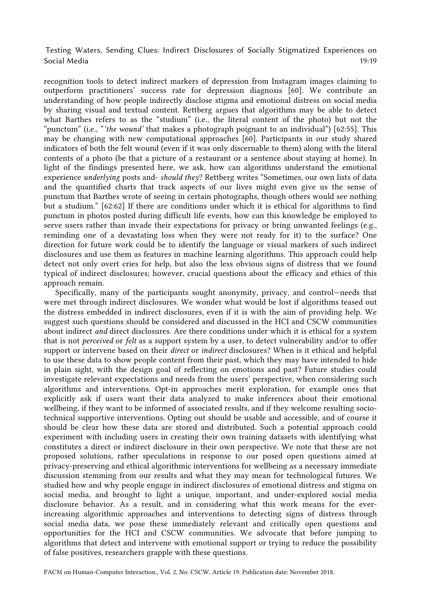recognition tools to detect indirect markers of depression from Instagram images claiming to outperform practitioners' success rate for depression diagnosis [60]. We contribute an understanding of how people indirectly disclose stigma and emotional distress on social media by sharing visual and textual content. Rettberg argues that algorithms may be able to detect what Barthes refers to as the "studium" (i.e., the literal content of the photo) but not the "punctum" (i.e., "*'the wound'* that makes a photograph poignant to an individual") [62:55]. This may be changing with new computational approaches [60]. Participants in our study shared indicators of both the felt wound (even if it was only discernable to them) along with the literal contents of a photo (be that a picture of a restaurant or a sentence about staying at home). In light of the findings presented here, we ask, how can algorithms understand the emotional experience *underlying* posts and- *should they*? Rettberg writes "Sometimes, our own lists of data and the quantified charts that track aspects of our lives might even give us the sense of punctum that Barthes wrote of seeing in certain photographs, though others would see nothing but a studium." [62:62] If there are conditions under which it is ethical for algorithms to find punctum in photos posted during difficult life events, how can this knowledge be employed to serve users rather than invade their expectations for privacy or bring unwanted feelings (e.g., reminding one of a devastating loss when they were not ready for it) to the surface? One direction for future work could be to identify the language or visual markers of such indirect disclosures and use them as features in machine learning algorithms. This approach could help detect not only overt cries for help, but also the less obvious signs of distress that we found typical of indirect disclosures; however, crucial questions about the efficacy and ethics of this approach remain.

Specifically, many of the participants sought anonymity, privacy, and control—needs that were met through indirect disclosures. We wonder what would be lost if algorithms teased out the distress embedded in indirect disclosures, even if it is with the aim of providing help. We suggest such questions should be considered and discussed in the HCI and CSCW communities about indirect *and* direct disclosures. Are there conditions under which it is ethical for a system that is not *perceived* or *felt* as a support system by a user, to detect vulnerability and/or to offer support or intervene based on their *direct* or *indirect* disclosures? When is it ethical and helpful to use these data to show people content from their past, which they may have intended to hide in plain sight, with the design goal of reflecting on emotions and past? Future studies could investigate relevant expectations and needs from the users' perspective, when considering such algorithms and interventions. Opt-in approaches merit exploration, for example ones that explicitly ask if users want their data analyzed to make inferences about their emotional wellbeing, if they want to be informed of associated results, and if they welcome resulting sociotechnical supportive interventions. Opting out should be usable and accessible, and of course it should be clear how these data are stored and distributed. Such a potential approach could experiment with including users in creating their own training datasets with identifying what constitutes a direct or indirect disclosure in their own perspective. We note that these are not proposed solutions, rather speculations in response to our posed open questions aimed at privacy-preserving and ethical algorithmic interventions for wellbeing as a necessary immediate discussion stemming from our results and what they may mean for technological futures. We studied how and why people engage in indirect disclosures of emotional distress and stigma on social media, and brought to light a unique, important, and under-explored social media disclosure behavior. As a result, and in considering what this work means for the everincreasing algorithmic approaches and interventions to detecting signs of distress through social media data, we pose these immediately relevant and critically open questions and opportunities for the HCI and CSCW communities. We advocate that before jumping to algorithms that detect and intervene with emotional support or trying to reduce the possibility of false positives, researchers grapple with these questions.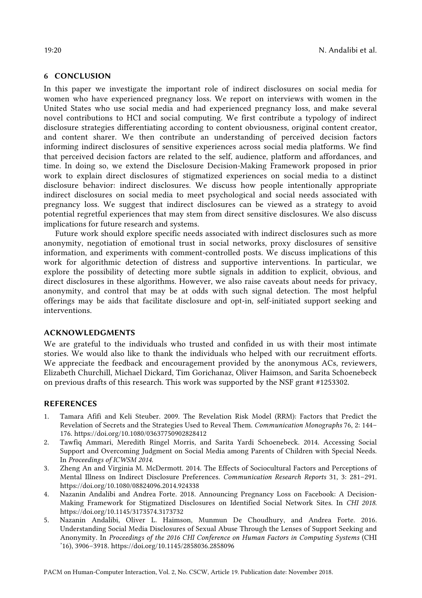## 6 CONCLUSION

In this paper we investigate the important role of indirect disclosures on social media for women who have experienced pregnancy loss. We report on interviews with women in the United States who use social media and had experienced pregnancy loss, and make several novel contributions to HCI and social computing. We first contribute a typology of indirect disclosure strategies differentiating according to content obviousness, original content creator, and content sharer. We then contribute an understanding of perceived decision factors informing indirect disclosures of sensitive experiences across social media platforms. We find that perceived decision factors are related to the self, audience, platform and affordances, and time. In doing so, we extend the Disclosure Decision-Making Framework proposed in prior work to explain direct disclosures of stigmatized experiences on social media to a distinct disclosure behavior: indirect disclosures. We discuss how people intentionally appropriate indirect disclosures on social media to meet psychological and social needs associated with pregnancy loss. We suggest that indirect disclosures can be viewed as a strategy to avoid potential regretful experiences that may stem from direct sensitive disclosures. We also discuss implications for future research and systems.

Future work should explore specific needs associated with indirect disclosures such as more anonymity, negotiation of emotional trust in social networks, proxy disclosures of sensitive information, and experiments with comment-controlled posts. We discuss implications of this work for algorithmic detection of distress and supportive interventions. In particular, we explore the possibility of detecting more subtle signals in addition to explicit, obvious, and direct disclosures in these algorithms. However, we also raise caveats about needs for privacy, anonymity, and control that may be at odds with such signal detection. The most helpful offerings may be aids that facilitate disclosure and opt-in, self-initiated support seeking and interventions.

## ACKNOWLEDGMENTS

We are grateful to the individuals who trusted and confided in us with their most intimate stories. We would also like to thank the individuals who helped with our recruitment efforts. We appreciate the feedback and encouragement provided by the anonymous ACs, reviewers, Elizabeth Churchill, Michael Dickard, Tim Gorichanaz, Oliver Haimson, and Sarita Schoenebeck on previous drafts of this research. This work was supported by the NSF grant #1253302.

## REFERENCES

- 1. Tamara Afifi and Keli Steuber. 2009. The Revelation Risk Model (RRM): Factors that Predict the Revelation of Secrets and the Strategies Used to Reveal Them. *Communication Monographs* 76, 2: 144– 176. https://doi.org/10.1080/03637750902828412
- 2. Tawfiq Ammari, Meredith Ringel Morris, and Sarita Yardi Schoenebeck. 2014. Accessing Social Support and Overcoming Judgment on Social Media among Parents of Children with Special Needs. In *Proceedings of ICWSM 2014*.
- 3. Zheng An and Virginia M. McDermott. 2014. The Effects of Sociocultural Factors and Perceptions of Mental Illness on Indirect Disclosure Preferences. *Communication Research Reports* 31, 3: 281–291. https://doi.org/10.1080/08824096.2014.924338
- 4. Nazanin Andalibi and Andrea Forte. 2018. Announcing Pregnancy Loss on Facebook: A Decision-Making Framework for Stigmatized Disclosures on Identified Social Network Sites. In *CHI 2018*. https://doi.org/10.1145/3173574.3173732
- 5. Nazanin Andalibi, Oliver L. Haimson, Munmun De Choudhury, and Andrea Forte. 2016. Understanding Social Media Disclosures of Sexual Abuse Through the Lenses of Support Seeking and Anonymity. In *Proceedings of the 2016 CHI Conference on Human Factors in Computing Systems* (CHI '16), 3906–3918. https://doi.org/10.1145/2858036.2858096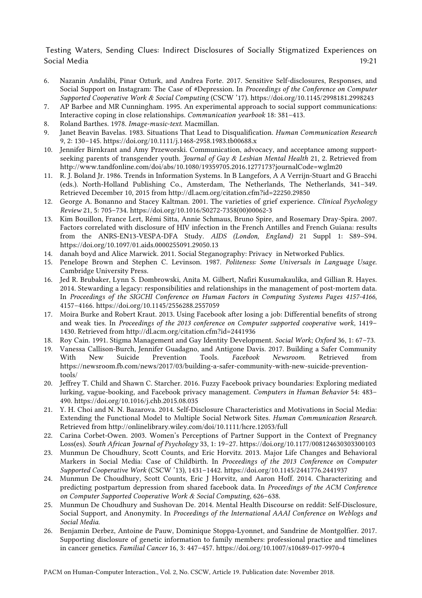- 6. Nazanin Andalibi, Pinar Ozturk, and Andrea Forte. 2017. Sensitive Self-disclosures, Responses, and Social Support on Instagram: The Case of #Depression. In *Proceedings of the Conference on Computer Supported Cooperative Work & Social Computing* (CSCW '17). https://doi.org/10.1145/2998181.2998243
- 7. AP Barbee and MR Cunningham. 1995. An experimental approach to social support communications: Interactive coping in close relationships. *Communication yearbook* 18: 381–413.
- 8. Roland Barthes. 1978. *Image-music-text*. Macmillan.
- 9. Janet Beavin Bavelas. 1983. Situations That Lead to Disqualification. *Human Communication Research* 9, 2: 130–145. https://doi.org/10.1111/j.1468-2958.1983.tb00688.x
- 10. Jennifer Birnkrant and Amy Przeworski. Communication, advocacy, and acceptance among supportseeking parents of transgender youth. *Journal of Gay & Lesbian Mental Health* 21, 2. Retrieved from http://www.tandfonline.com/doi/abs/10.1080/19359705.2016.1277173?journalCode=wglm20
- 11. R. J. Boland Jr. 1986. Trends in Information Systems. In B Langefors, A A Verrijn-Stuart and G Bracchi (eds.). North-Holland Publishing Co., Amsterdam, The Netherlands, The Netherlands, 341–349. Retrieved December 10, 2015 from http://dl.acm.org/citation.cfm?id=22250.29850
- 12. George A. Bonanno and Stacey Kaltman. 2001. The varieties of grief experience. *Clinical Psychology Review* 21, 5: 705–734. https://doi.org/10.1016/S0272-7358(00)00062-3
- 13. Kim Bouillon, France Lert, Rémi Sitta, Annie Schmaus, Bruno Spire, and Rosemary Dray-Spira. 2007. Factors correlated with disclosure of HIV infection in the French Antilles and French Guiana: results from the ANRS-EN13-VESPA-DFA Study. *AIDS (London, England)* 21 Suppl 1: S89–S94. https://doi.org/10.1097/01.aids.0000255091.29050.13
- 14. danah boyd and Alice Marwick. 2011. Social Steganography: Privacy in Networked Publics.
- 15. Penelope Brown and Stephen C. Levinson. 1987. *Politeness: Some Universals in Language Usage*. Cambridge University Press.
- 16. Jed R. Brubaker, Lynn S. Dombrowski, Anita M. Gilbert, Nafiri Kusumakaulika, and Gillian R. Hayes. 2014. Stewarding a legacy: responsibilities and relationships in the management of post-mortem data. In *Proceedings of the SIGCHI Conference on Human Factors in Computing Systems Pages 4157-4166*, 4157–4166. https://doi.org/10.1145/2556288.2557059
- 17. Moira Burke and Robert Kraut. 2013. Using Facebook after losing a job: Differential benefits of strong and weak ties. In *Proceedings of the 2013 conference on Computer supported cooperative work*, 1419– 1430. Retrieved from http://dl.acm.org/citation.cfm?id=2441936
- 18. Roy Cain. 1991. Stigma Management and Gay Identity Development. *Social Work; Oxford* 36, 1: 67–73.
- 19. Vanessa Callison-Burch, Jennifer Guadagno, and Antigone Davis. 2017. Building a Safer Community With New Suicide Prevention Tools. *Facebook Newsroom*. Retrieved from https://newsroom.fb.com/news/2017/03/building-a-safer-community-with-new-suicide-preventiontools/
- 20. Jeffrey T. Child and Shawn C. Starcher. 2016. Fuzzy Facebook privacy boundaries: Exploring mediated lurking, vague-booking, and Facebook privacy management. *Computers in Human Behavior* 54: 483– 490. https://doi.org/10.1016/j.chb.2015.08.035
- 21. Y. H. Choi and N. N. Bazarova. 2014. Self-Disclosure Characteristics and Motivations in Social Media: Extending the Functional Model to Multiple Social Network Sites. *Human Communication Research*. Retrieved from http://onlinelibrary.wiley.com/doi/10.1111/hcre.12053/full
- 22. Carina Corbet-Owen. 2003. Women's Perceptions of Partner Support in the Context of Pregnancy Loss(es). *South African Journal of Psychology* 33, 1: 19–27. https://doi.org/10.1177/008124630303300103
- 23. Munmun De Choudhury, Scott Counts, and Eric Horvitz. 2013. Major Life Changes and Behavioral Markers in Social Media: Case of Childbirth. In *Proceedings of the 2013 Conference on Computer Supported Cooperative Work* (CSCW '13), 1431–1442. https://doi.org/10.1145/2441776.2441937
- 24. Munmun De Choudhury, Scott Counts, Eric J Horvitz, and Aaron Hoff. 2014. Characterizing and predicting postpartum depression from shared facebook data. In *Proceedings of the ACM Conference on Computer Supported Cooperative Work & Social Computing*, 626–638.
- 25. Munmun De Choudhury and Sushovan De. 2014. Mental Health Discourse on reddit: Self-Disclosure, Social Support, and Anonymity. In *Proceedings of the International AAAI Conference on Weblogs and Social Media*.
- 26. Benjamin Derbez, Antoine de Pauw, Dominique Stoppa-Lyonnet, and Sandrine de Montgolfier. 2017. Supporting disclosure of genetic information to family members: professional practice and timelines in cancer genetics. *Familial Cancer* 16, 3: 447–457. https://doi.org/10.1007/s10689-017-9970-4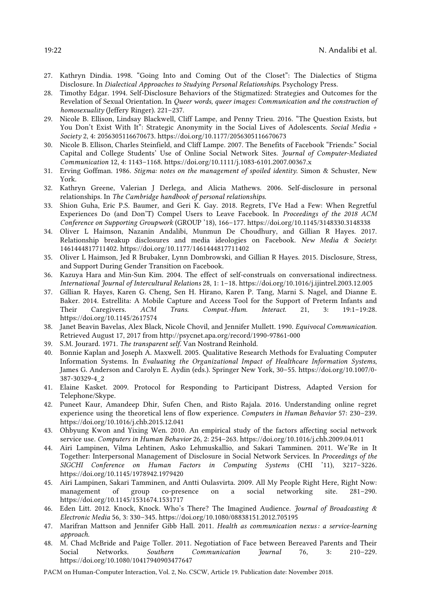- 27. Kathryn Dindia. 1998. "Going Into and Coming Out of the Closet": The Dialectics of Stigma Disclosure. In *Dialectical Approaches to Studying Personal Relationships*. Psychology Press.
- 28. Timothy Edgar. 1994. Self-Disclosure Behaviors of the Stigmatized: Strategies and Outcomes for the Revelation of Sexual Orientation. In *Queer words, queer images: Communication and the construction of homosexuality* (Jeffery Ringer). 221–237.
- 29. Nicole B. Ellison, Lindsay Blackwell, Cliff Lampe, and Penny Trieu. 2016. "The Question Exists, but You Don't Exist With It": Strategic Anonymity in the Social Lives of Adolescents. *Social Media + Society* 2, 4: 2056305116670673. https://doi.org/10.1177/2056305116670673
- 30. Nicole B. Ellison, Charles Steinfield, and Cliff Lampe. 2007. The Benefits of Facebook "Friends:" Social Capital and College Students' Use of Online Social Network Sites. *Journal of Computer-Mediated Communication* 12, 4: 1143–1168. https://doi.org/10.1111/j.1083-6101.2007.00367.x
- 31. Erving Goffman. 1986. *Stigma: notes on the management of spoiled identity*. Simon & Schuster, New York.
- 32. Kathryn Greene, Valerian J Derlega, and Alicia Mathews. 2006. Self-disclosure in personal relationships. In *The Cambridge handbook of personal relationships*.
- 33. Shion Guha, Eric P.S. Baumer, and Geri K. Gay. 2018. Regrets, I'Ve Had a Few: When Regretful Experiences Do (and Don'T) Compel Users to Leave Facebook. In *Proceedings of the 2018 ACM Conference on Supporting Groupwork* (GROUP '18), 166–177. https://doi.org/10.1145/3148330.3148338
- 34. Oliver L Haimson, Nazanin Andalibi, Munmun De Choudhury, and Gillian R Hayes. 2017. Relationship breakup disclosures and media ideologies on Facebook. *New Media & Society*: 1461444817711402. https://doi.org/10.1177/1461444817711402
- 35. Oliver L Haimson, Jed R Brubaker, Lynn Dombrowski, and Gillian R Hayes. 2015. Disclosure, Stress, and Support During Gender Transition on Facebook.
- 36. Kazuya Hara and Min-Sun Kim. 2004. The effect of self-construals on conversational indirectness. *International Journal of Intercultural Relations* 28, 1: 1–18. https://doi.org/10.1016/j.ijintrel.2003.12.005
- 37. Gillian R. Hayes, Karen G. Cheng, Sen H. Hirano, Karen P. Tang, Marni S. Nagel, and Dianne E. Baker. 2014. Estrellita: A Mobile Capture and Access Tool for the Support of Preterm Infants and Their Caregivers. *ACM Trans. Comput.-Hum. Interact.* 21, 3: 19:1–19:28. https://doi.org/10.1145/2617574
- 38. Janet Beavin Bavelas, Alex Black, Nicole Chovil, and Jennifer Mullett. 1990. *Equivocal Communication*. Retrieved August 17, 2017 from http://psycnet.apa.org/record/1990-97861-000
- 39. S.M. Jourard. 1971. *The transparent self*. Van Nostrand Reinhold.
- 40. Bonnie Kaplan and Joseph A. Maxwell. 2005. Qualitative Research Methods for Evaluating Computer Information Systems. In *Evaluating the Organizational Impact of Healthcare Information Systems*, James G. Anderson and Carolyn E. Aydin (eds.). Springer New York, 30–55. https://doi.org/10.1007/0- 387-30329-4\_2
- 41. Elaine Kasket. 2009. Protocol for Responding to Participant Distress, Adapted Version for Telephone/Skype.
- 42. Puneet Kaur, Amandeep Dhir, Sufen Chen, and Risto Rajala. 2016. Understanding online regret experience using the theoretical lens of flow experience. *Computers in Human Behavior* 57: 230–239. https://doi.org/10.1016/j.chb.2015.12.041
- 43. Ohbyung Kwon and Yixing Wen. 2010. An empirical study of the factors affecting social network service use. *Computers in Human Behavior* 26, 2: 254–263. https://doi.org/10.1016/j.chb.2009.04.011
- 44. Airi Lampinen, Vilma Lehtinen, Asko Lehmuskallio, and Sakari Tamminen. 2011. We'Re in It Together: Interpersonal Management of Disclosure in Social Network Services. In *Proceedings of the SIGCHI Conference on Human Factors in Computing Systems* (CHI '11), 3217–3226. https://doi.org/10.1145/1978942.1979420
- 45. Airi Lampinen, Sakari Tamminen, and Antti Oulasvirta. 2009. All My People Right Here, Right Now: management of group co-presence on a social networking site. 281–290. https://doi.org/10.1145/1531674.1531717
- 46. Eden Litt. 2012. Knock, Knock. Who's There? The Imagined Audience. *Journal of Broadcasting & Electronic Media* 56, 3: 330–345. https://doi.org/10.1080/08838151.2012.705195
- 47. Marifran Mattson and Jennifer Gibb Hall. 2011. *Health as communication nexus: a service-learning approach*.
- 48. M. Chad McBride and Paige Toller. 2011. Negotiation of Face between Bereaved Parents and Their Social Networks. *Southern Communication Journal* 76, 3: 210–229. https://doi.org/10.1080/10417940903477647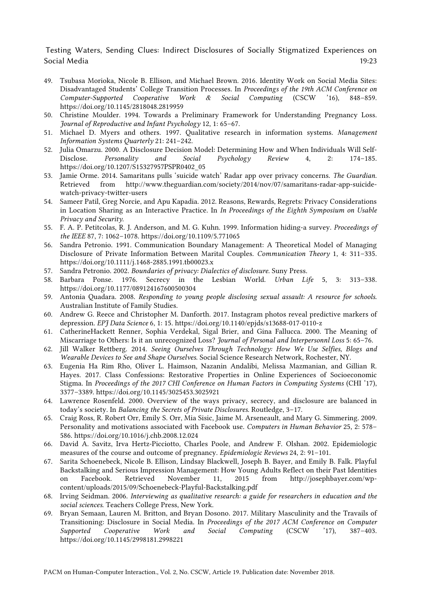- 49. Tsubasa Morioka, Nicole B. Ellison, and Michael Brown. 2016. Identity Work on Social Media Sites: Disadvantaged Students' College Transition Processes. In *Proceedings of the 19th ACM Conference on Computer-Supported Cooperative Work & Social Computing* (CSCW '16), 848–859. https://doi.org/10.1145/2818048.2819959
- 50. Christine Moulder. 1994. Towards a Preliminary Framework for Understanding Pregnancy Loss. *Journal of Reproductive and Infant Psychology* 12, 1: 65–67.
- 51. Michael D. Myers and others. 1997. Qualitative research in information systems. *Management Information Systems Quarterly* 21: 241–242.
- 52. Julia Omarzu. 2000. A Disclosure Decision Model: Determining How and When Individuals Will Self-Disclose. *Personality and Social Psychology Review* 4, 2: 174–185. https://doi.org/10.1207/S15327957PSPR0402\_05
- 53. Jamie Orme. 2014. Samaritans pulls 'suicide watch' Radar app over privacy concerns. *The Guardian*. Retrieved from http://www.theguardian.com/society/2014/nov/07/samaritans-radar-app-suicidewatch-privacy-twitter-users
- 54. Sameer Patil, Greg Norcie, and Apu Kapadia. 2012. Reasons, Rewards, Regrets: Privacy Considerations in Location Sharing as an Interactive Practice. In *In Proceedings of the Eighth Symposium on Usable Privacy and Security*.
- 55. F. A. P. Petitcolas, R. J. Anderson, and M. G. Kuhn. 1999. Information hiding-a survey. *Proceedings of the IEEE* 87, 7: 1062–1078. https://doi.org/10.1109/5.771065
- 56. Sandra Petronio. 1991. Communication Boundary Management: A Theoretical Model of Managing Disclosure of Private Information Between Marital Couples. *Communication Theory* 1, 4: 311–335. https://doi.org/10.1111/j.1468-2885.1991.tb00023.x
- 57. Sandra Petronio. 2002. *Boundaries of privacy: Dialectics of disclosure*. Suny Press.
- 58. Barbara Ponse. 1976. Secrecy in the Lesbian World. *Urban Life* 5, 3: 313–338. https://doi.org/10.1177/089124167600500304
- 59. Antonia Quadara. 2008. *Responding to young people disclosing sexual assault: A resource for schools*. Australian Institute of Family Studies.
- 60. Andrew G. Reece and Christopher M. Danforth. 2017. Instagram photos reveal predictive markers of depression. *EPJ Data Science* 6, 1: 15. https://doi.org/10.1140/epjds/s13688-017-0110-z
- 61. CatherineHackett Renner, Sophia Verdekal, Sigal Brier, and Gina Fallucca. 2000. The Meaning of Miscarriage to Others: Is it an unrecognized Loss? *Journal of Personal and lnterpersonnl Loss* 5: 65–76.
- 62. Jill Walker Rettberg. 2014. *Seeing Ourselves Through Technology: How We Use Selfies, Blogs and Wearable Devices to See and Shape Ourselves*. Social Science Research Network, Rochester, NY.
- 63. Eugenia Ha Rim Rho, Oliver L. Haimson, Nazanin Andalibi, Melissa Mazmanian, and Gillian R. Hayes. 2017. Class Confessions: Restorative Properties in Online Experiences of Socioeconomic Stigma. In *Proceedings of the 2017 CHI Conference on Human Factors in Computing Systems* (CHI '17), 3377–3389. https://doi.org/10.1145/3025453.3025921
- 64. Lawrence Rosenfeld. 2000. Overview of the ways privacy, secrecy, and disclosure are balanced in today's society. In *Balancing the Secrets of Private Disclosures*. Routledge, 3–17.
- 65. Craig Ross, R. Robert Orr, Emily S. Orr, Mia Sisic, Jaime M. Arseneault, and Mary G. Simmering. 2009. Personality and motivations associated with Facebook use. *Computers in Human Behavior* 25, 2: 578– 586. https://doi.org/10.1016/j.chb.2008.12.024
- 66. David A. Savitz, Irva Hertz-Picciotto, Charles Poole, and Andrew F. Olshan. 2002. Epidemiologic measures of the course and outcome of pregnancy. *Epidemiologic Reviews* 24, 2: 91–101.
- 67. Sarita Schoenebeck, Nicole B. Ellison, Lindsay Blackwell, Joseph B. Bayer, and Emily B. Falk. Playful Backstalking and Serious Impression Management: How Young Adults Reflect on their Past Identities on Facebook. Retrieved November 11, 2015 from http://josephbayer.com/wpcontent/uploads/2015/09/Schoenebeck-Playful-Backstalking.pdf
- 68. Irving Seidman. 2006. *Interviewing as qualitative research: a guide for researchers in education and the social sciences*. Teachers College Press, New York.
- 69. Bryan Semaan, Lauren M. Britton, and Bryan Dosono. 2017. Military Masculinity and the Travails of Transitioning: Disclosure in Social Media. In *Proceedings of the 2017 ACM Conference on Computer Supported Cooperative Work and Social Computing* (CSCW '17), 387–403. https://doi.org/10.1145/2998181.2998221